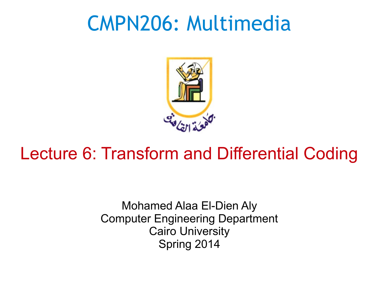#### CMPN206: Multimedia



#### Lecture 6: Transform and Differential Coding

Mohamed Alaa El-Dien Aly Computer Engineering Department Cairo University Spring 2014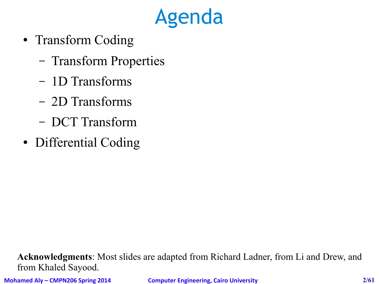# Agenda

- Transform Coding
	- Transform Properties
	- 1D Transforms
	- 2D Transforms
	- DCT Transform
- Differential Coding

**Acknowledgments**: Most slides are adapted from Richard Ladner, from Li and Drew, and from Khaled Sayood.

**Mohamed Aly – CMPN206 Spring 2014 Computer Engineering, Cairo University 2/61**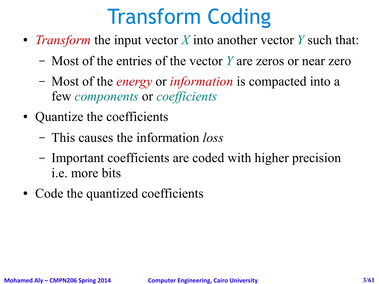# Transform Coding

- *Transform* the input vector *X* into another vector *Y* such that:
	- Most of the entries of the vector *Y* are zeros or near zero
	- Most of the *energy* or *information* is compacted into a few *components* or *coefficients*
- Quantize the coefficients
	- This causes the information *loss*
	- Important coefficients are coded with higher precision i.e. more bits
- Code the quantized coefficients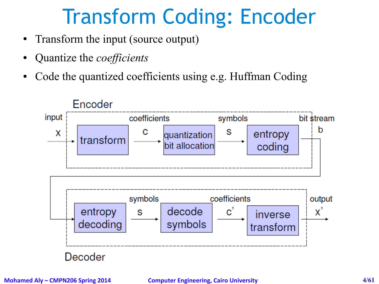# Transform Coding: Encoder

- Transform the input (source output)
- Quantize the *coefficients*
- Code the quantized coefficients using e.g. Huffman Coding

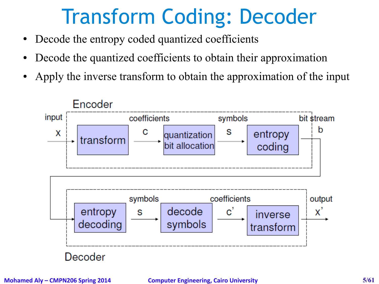# Transform Coding: Decoder

- Decode the entropy coded quantized coefficients
- Decode the quantized coefficients to obtain their approximation
- Apply the inverse transform to obtain the approximation of the input

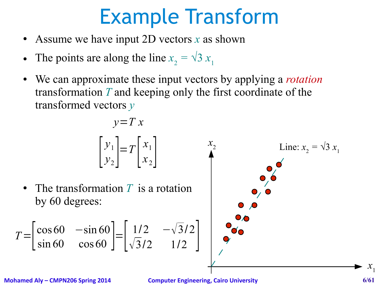# Example Transform

- Assume we have input 2D vectors  $x$  as shown
- The points are along the line  $x_2 = \sqrt{3} x_1$

 $y=-T$   $\bf{v}$ 

● We can approximate these input vectors by applying a *rotation* transformation *T* and keeping only the first coordinate of the transformed vectors *y*

$$
\begin{bmatrix} y_1 \\ y_2 \end{bmatrix} = T \begin{bmatrix} x_1 \\ x_2 \end{bmatrix}
$$
  
\n• The transformation *T* is a rotation  
\nby 60 degrees:  
\n
$$
= \begin{bmatrix} \cos 60 & -\sin 60 \\ \sin 60 & \cos 60 \end{bmatrix} = \begin{bmatrix} 1/2 & -\sqrt{3}/2 \\ \sqrt{3}/2 & 1/2 \end{bmatrix}
$$

**Mohamed Aly – CMPN206 Spring 2014 Computer Engineering, Cairo University 6/61**

 $T=$ 

 $\mathcal{X}_1$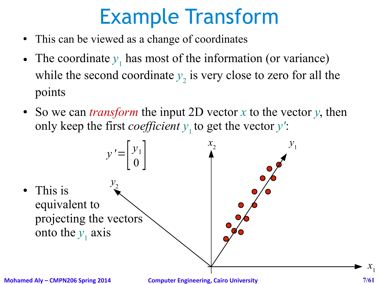# Example Transform

- This can be viewed as a change of coordinates
- The coordinate  $y_1$  has most of the information (or variance) while the second coordinate  $y_2$  is very close to zero for all the points
- So we can *transform* the input 2D vector *x* to the vector *y*, then only keep the first *coefficient*  $y_1$  to get the vector  $y'$ :



 $\mathcal{X}_1$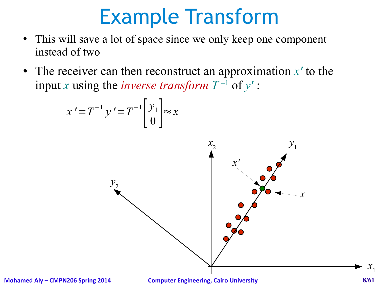# Example Transform

- This will save a lot of space since we only keep one component instead of two
- The receiver can then reconstruct an approximation  $x'$  to the input *x* using the *inverse transform*  $T^{-1}$  of  $y'$ :

$$
x' = T^{-1} y' = T^{-1} \begin{bmatrix} y_1 \\ 0 \end{bmatrix} \approx x
$$



**Mohamed Aly – CMPN206 Spring 2014 Computer Engineering, Cairo University 8/61**

 $x_{1}$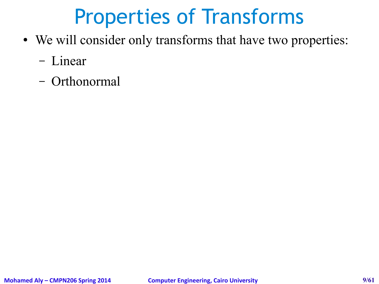#### Properties of Transforms

- We will consider only transforms that have two properties:
	- Linear
	- Orthonormal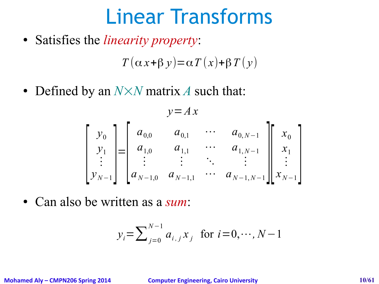## Linear Transforms

● Satisfies the *linearity property*:

 $T(\alpha x+\beta y)=\alpha T(x)+\beta T(y)$ 

• Defined by an  $N \times N$  matrix *A* such that:

$$
\begin{bmatrix}\ny_0 \\
y_0 \\
y_1 \\
\vdots \\
y_{N-1}\n\end{bmatrix} =\n\begin{bmatrix}\na_{0,0} & a_{0,1} & \cdots & a_{0,N-1} \\
a_{1,0} & a_{1,1} & \cdots & a_{1,N-1} \\
\vdots & \vdots & \ddots & \vdots \\
a_{N-1,0} & a_{N-1,1} & \cdots & a_{N-1,N-1}\n\end{bmatrix}\n\begin{bmatrix}\nx_0 \\
x_1 \\
\vdots \\
x_{N-1}\n\end{bmatrix}
$$

● Can also be written as a *sum*:

$$
y_i = \sum_{j=0}^{N-1} a_{i,j} x_j
$$
 for  $i = 0, \dots, N-1$ 

**Mohamed Aly – CMPN206 Spring 2014 Computer Engineering, Cairo University 10/61**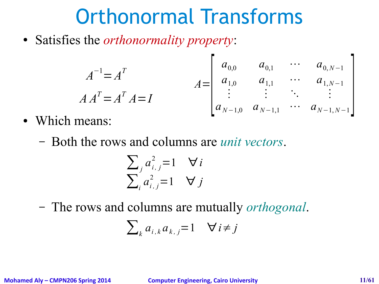#### Orthonormal Transforms

● Satisfies the *orthonormality property*:

$$
A^{-1} = A^{T}
$$
  
\n
$$
A A^{T} = A^{T} A = I
$$
  
\n
$$
A A^{T} = A^{T} A = I
$$
  
\n
$$
A \rightarrow A^{T} = A^{T} A = I
$$
  
\n
$$
A \rightarrow A^{T} = A^{T} A = I
$$
  
\n
$$
A \rightarrow A^{T} = A^{T} A = I
$$
  
\n
$$
A \rightarrow A^{T} = A^{T} A = I
$$
  
\n
$$
A \rightarrow A^{T} = A^{T} A = I
$$
  
\n
$$
A \rightarrow A^{T} = A^{T} A = I
$$
  
\n
$$
A \rightarrow A^{T} = A^{T} A = I
$$
  
\n
$$
A \rightarrow A^{T} = A^{T} A = I
$$
  
\n
$$
A \rightarrow A^{T} = A^{T} A = I
$$
  
\n
$$
A \rightarrow A^{T} = A^{T} A = I
$$
  
\n
$$
A \rightarrow A^{T} = A^{T} A = I
$$
  
\n
$$
A \rightarrow A^{T} = A^{T} A = I
$$
  
\n
$$
A \rightarrow A^{T} = A^{T} A = I
$$
  
\n
$$
A \rightarrow A^{T} = A^{T} A = I
$$

- Which means:
	- Both the rows and columns are *unit vectors*.

$$
\sum_{j} a_{i,j}^{2} = 1 \quad \forall i
$$
  

$$
\sum_{i} a_{i,j}^{2} = 1 \quad \forall j
$$

– The rows and columns are mutually *orthogonal*.

$$
\sum\nolimits_{k} a_{i,k} a_{k,j} = 1 \quad \forall i \neq j
$$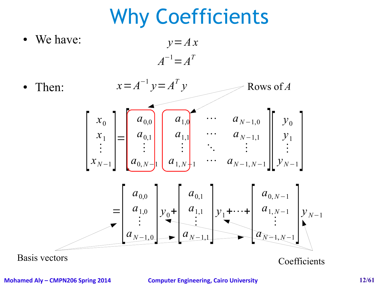#### Why Coefficients

We have: *y*=*A x*  $A^{-1} = A^T$ 



**Mohamed Aly – CMPN206 Spring 2014 Computer Engineering, Cairo University 12/61**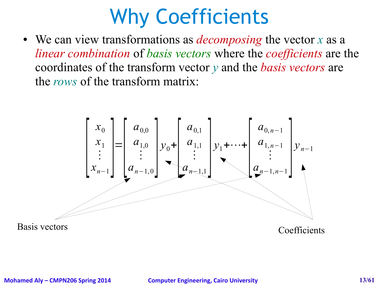#### Why Coefficients

• We can view transformations as *decomposing* the vector *x* as a *linear combination* of *basis vectors* where the *coefficients* are the coordinates of the transform vector *y* and the *basis vectors* are the *rows* of the transform matrix:



#### **Mohamed Aly – CMPN206 Spring 2014 Computer Engineering, Cairo University 13/61**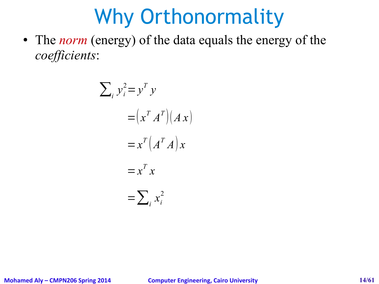# Why Orthonormality

• The *norm* (energy) of the data equals the energy of the *coefficients*:

$$
\sum_{i} y_{i}^{2} = y^{T} y
$$

$$
= (x^{T} A^{T})(A x)
$$

$$
= x^{T} (A^{T} A) x
$$

$$
= x^{T} x
$$

$$
= \sum_{i} x_{i}^{2}
$$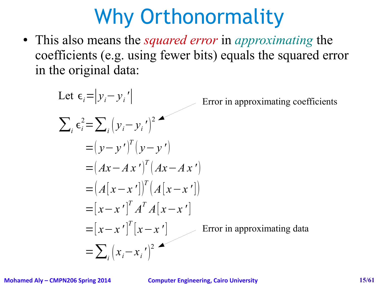# Why Orthonormality

● This also means the *squared error* in *approximating* the coefficients (e.g. using fewer bits) equals the squared error in the original data:

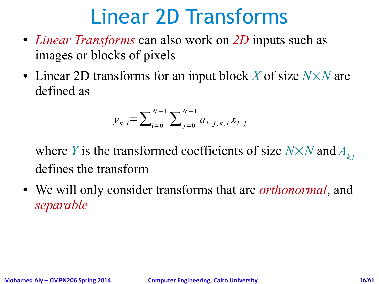# Linear 2D Transforms

- *Linear Transforms* can also work on 2D inputs such as images or blocks of pixels
- Linear 2D transforms for an input block X of size  $N \times N$  are defined as

$$
y_{k,l} = \sum_{i=0}^{N-1} \sum_{j=0}^{N-1} a_{i,j,k,l} x_{i,j}
$$

where *Y* is the transformed coefficients of size  $N \times N$  and  $A_{k,l}$ defines the transform

• We will only consider transforms that are *orthonormal*, and *separable*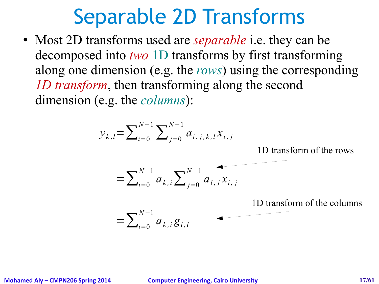#### Separable 2D Transforms

• Most 2D transforms used are *separable* i.e. they can be decomposed into *two* 1D transforms by first transforming along one dimension (e.g. the *rows*) using the corresponding *1D transform*, then transforming along the second dimension (e.g. the *columns*):

$$
y_{k,l} = \sum_{i=0}^{N-1} \sum_{j=0}^{N-1} a_{i,j,k,l} x_{i,j}
$$

1D transform of the rows

$$
= \sum_{i=0}^{N-1} a_{k,i} \sum_{j=0}^{N-1} a_{l,j} x_{i,j}
$$

1D transform of the columns

$$
=\sum\nolimits_{i=0}^{N-1} a_{k,i} g_{i,l}
$$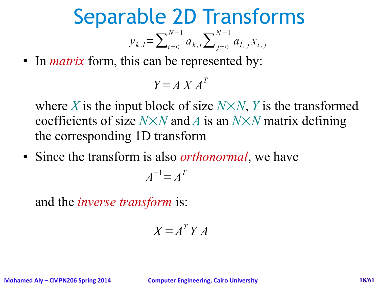Separable 2D Transforms

$$
y_{k,l} = \sum_{i=0}^{N-1} a_{k,i} \sum_{j=0}^{N-1} a_{l,j} x_{i,j}
$$

• In *matrix* form, this can be represented by:

$$
Y = A X A^T
$$

where *X* is the input block of size  $N \times N$ , *Y* is the transformed coefficients of size  $N \times N$  and *A* is an  $N \times N$  matrix defining the corresponding 1D transform

• Since the transform is also *orthonormal*, we have

$$
A^{-1} = A^T
$$

and the *inverse transform* is:

$$
X = A^T Y A
$$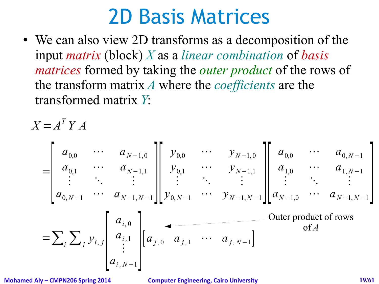#### 2D Basis Matrices

• We can also view 2D transforms as a decomposition of the input *matrix* (block) *X* as a *linear combination* of *basis matrices* formed by taking the *outer product* of the rows of the transform matrix *A* where the *coefficients* are the transformed matrix *Y*:

$$
X = AT Y A
$$
  
\n
$$
= \begin{bmatrix} a_{0,0} & \cdots & a_{N-1,0} \\ a_{0,1} & \cdots & a_{N-1,1} \\ \vdots & \ddots & \vdots \\ a_{0,N-1} & \cdots & a_{N-1,N-1} \end{bmatrix} \begin{bmatrix} y_{0,0} & \cdots & y_{N-1,0} \\ y_{0,1} & \cdots & y_{N-1,1} \\ \vdots & \ddots & \vdots \\ y_{0,N-1} & \cdots & y_{N-1,N-1} \end{bmatrix} \begin{bmatrix} a_{0,0} & \cdots & a_{0,N-1} \\ a_{1,0} & \cdots & a_{1,N-1} \\ \vdots & \ddots & \vdots \\ a_{N-1,0} & \cdots & a_{N-1,N-1} \end{bmatrix}
$$
  
\n
$$
= \sum_{i} \sum_{j} y_{i,j} \begin{bmatrix} a_{i,0} \\ a_{i,1} \\ \vdots \\ a_{i,N-1} \end{bmatrix} \begin{bmatrix} a_{i,0} \\ a_{j,0} & a_{j,1} & \cdots & a_{j,N-1} \end{bmatrix}
$$
Outer product of rows of A

**Mohamed Aly – CMPN206 Spring 2014 Computer Engineering, Cairo University 19/61**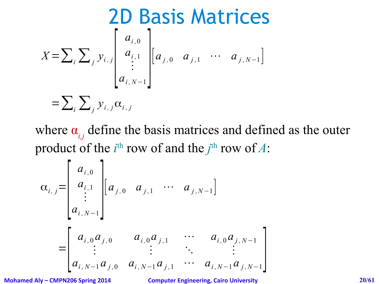$$
\sum_{X=\sum_{i}\sum_{j}y_{i,j}}\begin{bmatrix} a_{i,0} \\ a_{i,1} \\ \vdots \\ a_{i,N-1} \end{bmatrix}[a_{j,0} \ a_{j,1} \ \cdots \ a_{j,N-1}]
$$

$$
= \sum_{i}\sum_{j}y_{i,j}\alpha_{i,j}
$$

where  $\alpha_{i,j}$  define the basis matrices and defined as the outer product of the  $i^{\text{th}}$  row of and the  $j^{\text{th}}$  row of A:

$$
\alpha_{i,j} = \begin{bmatrix} a_{i,0} \\ a_{i,1} \\ \vdots \\ a_{i,N-1} \end{bmatrix} \begin{bmatrix} a_{j,0} & a_{j,1} & \cdots & a_{j,N-1} \end{bmatrix}
$$
  
= 
$$
\begin{bmatrix} a_{i,0}a_{j,0} & a_{i,0}a_{j,1} & \cdots & a_{i,0}a_{j,N-1} \\ \vdots & \vdots & \ddots & \vdots \\ a_{i,N-1}a_{j,0} & a_{i,N-1}a_{j,1} & \cdots & a_{i,N-1}a_{j,N-1} \end{bmatrix}
$$

**Mohamed Aly – CMPN206 Spring 2014 Computer Engineering, Cairo University 20/61**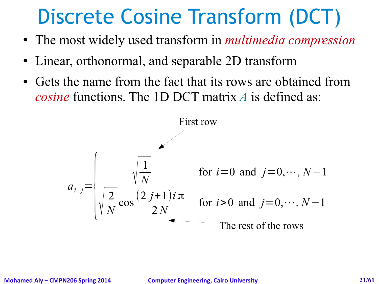# Discrete Cosine Transform (DCT)

- The most widely used transform in *multimedia compression*
- Linear, orthonormal, and separable 2D transform
- Gets the name from the fact that its rows are obtained from *cosine* functions. The 1D DCT matrix *A* is defined as:

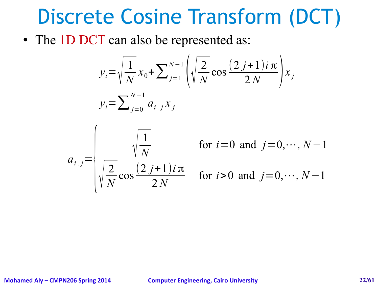#### Discrete Cosine Transform (DCT)

• The 1D DCT can also be represented as:

$$
y_i = \sqrt{\frac{1}{N}} x_0 + \sum_{j=1}^{N-1} \left( \sqrt{\frac{2}{N}} \cos \frac{(2 j + 1) i \pi}{2 N} \right) x_j
$$
  

$$
y_i = \sum_{j=0}^{N-1} a_{i,j} x_j
$$



for 
$$
i=0
$$
 and  $j=0, \dots, N-1$   
for  $i>0$  and  $j=0, \dots, N-1$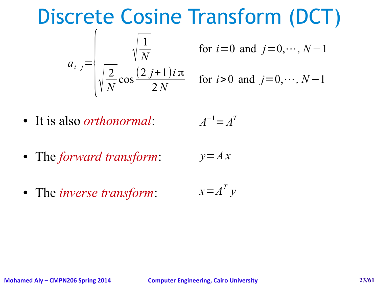#### Discrete Cosine Transform (DCT)



for 
$$
i=0
$$
 and  $j=0,\dots, N-1$ 

for 
$$
i > 0
$$
 and  $j = 0, \dots, N - 1$ 

● It is also *orthonormal*:

$$
A^{-1} = A^T
$$

- The *forward transform*:  $y = Ax$
- The *inverse transform*:  $x = A^T y$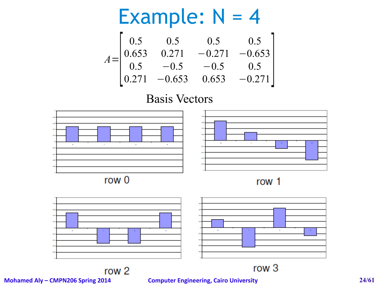**Example:** N = 4  
\n
$$
\begin{bmatrix}\n0.5 & 0.5 & 0.5 & 0.5 \\
0.653 & 0.271 & -0.271 & -0.653 \\
0.5 & -0.5 & -0.5 & 0.5 \\
0.271 & -0.653 & 0.653 & -0.271\n\end{bmatrix}
$$

#### Basis Vectors



row<sub>2</sub>

**Mohamed Aly – CMPN206 Spring 2014 Computer Engineering, Cairo University 24/61**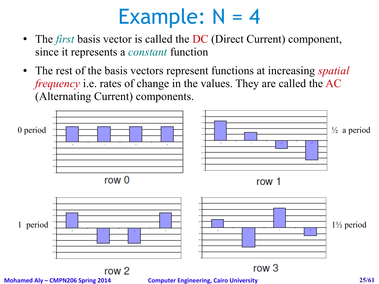- The *first* basis vector is called the DC (Direct Current) component, since it represents a *constant* function
- The rest of the basis vectors represent functions at increasing *spatial frequency* i.e. rates of change in the values. They are called the AC (Alternating Current) components.



**Mohamed Aly – CMPN206 Spring 2014 Computer Engineering, Cairo University 25/61**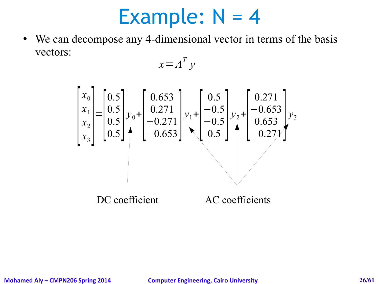• We can decompose any 4-dimensional vector in terms of the basis vectors:

$$
x = A^T y
$$

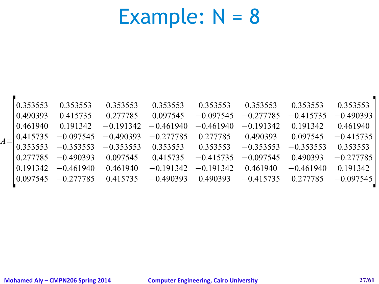| $A =$ | 0.353553<br>0.490393<br>0.461940<br>0.415735<br>0.353553<br>0.277785 | 0.353553<br>0.415735<br>0.191342<br>$-0.097545$<br>$-0.353553$<br>$-0.490393$ | 0.353553<br>0.277785<br>$-0.191342 - 0.461940$<br>$-0.490393$<br>$-0.353553$<br>0.097545 | 0.353553<br>0.097545<br>$-0.277785$<br>0.353553<br>0.415735 | 0.353553<br>$-0.097545$<br>$-0.461940$<br>0.277785<br>0.353553<br>$-0.415735$ | 0.353553<br>$-0.277785$<br>$-0.191342$<br>0.490393<br>$-0.353553$<br>$-0.097545$ | 0.353553<br>$-0.415735$<br>0.191342<br>0.097545<br>$-0.353553$<br>0.490393 | 0.353553<br>$-0.490393$<br>0.461940<br>$-0.415735$<br>0.353553<br>$-0.277785$ |
|-------|----------------------------------------------------------------------|-------------------------------------------------------------------------------|------------------------------------------------------------------------------------------|-------------------------------------------------------------|-------------------------------------------------------------------------------|----------------------------------------------------------------------------------|----------------------------------------------------------------------------|-------------------------------------------------------------------------------|
|       | 0.191342                                                             | $-0.461940$                                                                   | 0.461940                                                                                 | $-0.191342$                                                 | $-0.191342$                                                                   | 0.461940                                                                         | $-0.461940$                                                                | 0 191342                                                                      |
|       | 0.097545                                                             | $-0.277785$                                                                   | 0.415735                                                                                 | $-0.490393$                                                 | 0.490393                                                                      | $-0.415735$                                                                      | 0.277785                                                                   | $-0.097545$                                                                   |

 $\blacksquare$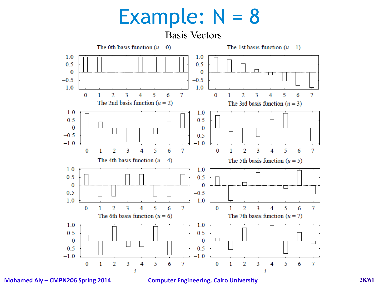

**Mohamed Aly – CMPN206 Spring 2014 Computer Engineering, Cairo University 28/61**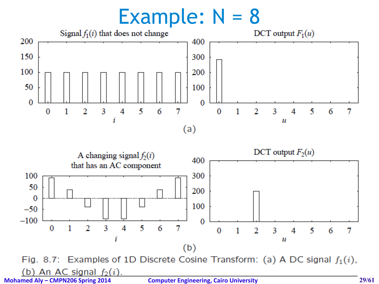



**Mohamed Aly – CMPN206 Spring 2014 Computer Engineering, Cairo University 29/61**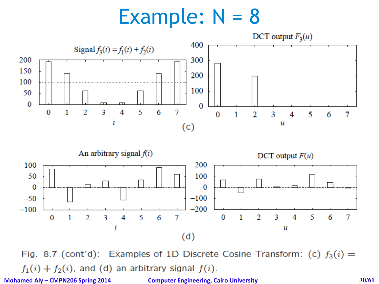



Fig. 8.7 (cont'd): Examples of 1D Discrete Cosine Transform: (c)  $f_3(i)$  =  $f_1(i) + f_2(i)$ , and (d) an arbitrary signal  $f(i)$ . **Mohamed Aly – CMPN206 Spring 2014 Computer Engineering, Cairo University 30/61**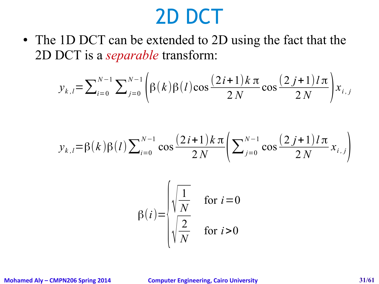#### 2D DCT

• The 1D DCT can be extended to 2D using the fact that the 2D DCT is a *separable* transform:

$$
y_{k,l} = \sum_{i=0}^{N-1} \sum_{j=0}^{N-1} \left( \beta(k) \beta(l) \cos \frac{(2i+1)k \pi}{2N} \cos \frac{(2j+1)l \pi}{2N} \right) x_{i,j}
$$

$$
y_{k,l} = \beta(k)\beta(l)\sum_{i=0}^{N-1} \cos\frac{(2i+1)k\pi}{2N} \left(\sum_{j=0}^{N-1} \cos\frac{(2j+1)l\pi}{2N} x_{i,j}\right)
$$

$$
\beta(i) = \begin{cases} \sqrt{\frac{1}{N}} & \text{for } i = 0\\ \sqrt{\frac{2}{N}} & \text{for } i > 0 \end{cases}
$$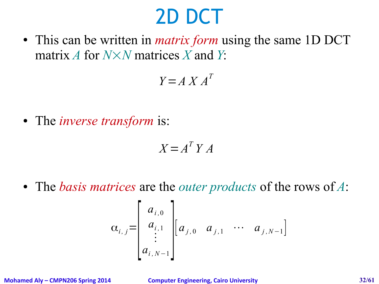## 2D DCT

• This can be written in *matrix form* using the same 1D DCT matrix *A* for *NN* matrices *X* and *Y*:

 $Y = A X A^T$ 

● The *inverse transform* is:

 $X = A^T Y A$ 

● The *basis matrices* are the *outer products* of the rows of *A*:

$$
\alpha_{i,j} = \begin{bmatrix} a_{i,0} \\ a_{i,1} \\ \vdots \\ a_{i,N-1} \end{bmatrix} \begin{bmatrix} a_{j,0} & a_{j,1} & \cdots & a_{j,N-1} \end{bmatrix}
$$

**Mohamed Aly – CMPN206 Spring 2014 Computer Engineering, Cairo University 32/61**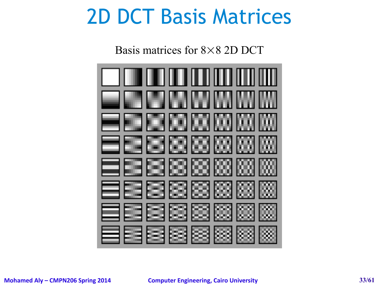#### 2D DCT Basis Matrices

Basis matrices for  $8\times8$  2D DCT

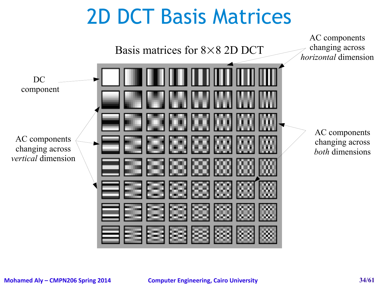# 2D DCT Basis Matrices

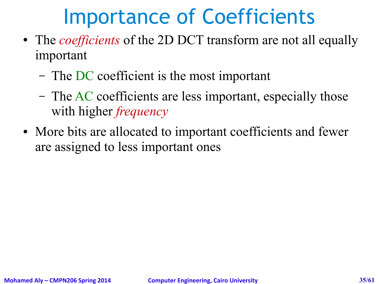# Importance of Coefficients

- The *coefficients* of the 2D DCT transform are not all equally important
	- The DC coefficient is the most important
	- The AC coefficients are less important, especially those with higher *frequency*
- More bits are allocated to important coefficients and fewer are assigned to less important ones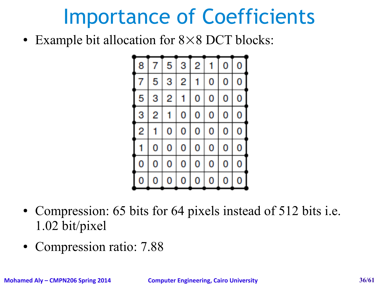# Importance of Coefficients

• Example bit allocation for  $8 \times 8$  DCT blocks:



- Compression: 65 bits for 64 pixels instead of 512 bits i.e. 1.02 bit/pixel
- Compression ratio: 7.88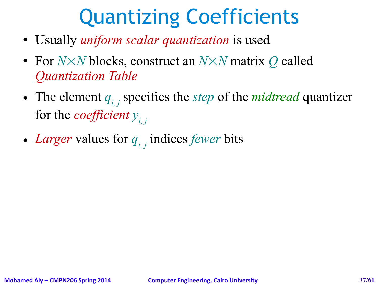# Quantizing Coefficients

- Usually *uniform scalar quantization* is used
- For *N*×*N* blocks, construct an *N*×*N* matrix *Q* called *Quantization Table*
- The element  $q_i$ , specifies the *step* of the *midtread* quantizer for the *coefficient yi, j*
- *Larger* values for *qi, j* indices *fewer* bits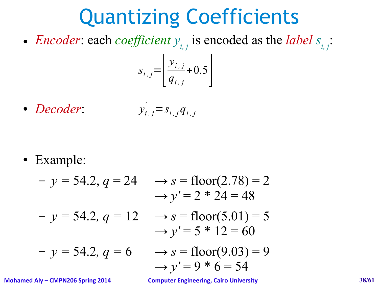# Quantizing Coefficients

• *Encoder*: each *coefficient*  $y_{i,j}$  is encoded as the *label*  $s_{i,j}$ :

$$
S_{i,j} = \left[ \frac{y_{i,j}}{q_{i,j}} + 0.5 \right]
$$

● *Decoder*:  $y'_{i,j} = s_{i,j} q_{i,j}$ 

● Example:

- 
$$
y = 54.2
$$
,  $q = 24$   $\rightarrow s = floor(2.78) = 2$   
\n $\rightarrow y' = 2 * 24 = 48$   
\n-  $y = 54.2$ ,  $q = 12$   $\rightarrow s = floor(5.01) = 5$   
\n $\rightarrow y' = 5 * 12 = 60$   
\n-  $y = 54.2$ ,  $q = 6$   $\rightarrow s = floor(9.03) = 9$   
\n $\rightarrow y' = 9 * 6 = 54$ 

**Mohamed Aly – CMPN206 Spring 2014 Computer Engineering, Cairo University 38/61**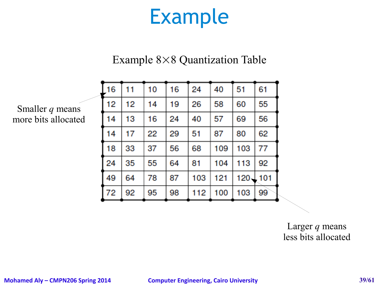#### Example

#### Example  $8\times 8$  Quantization Table

| 16 | 11 | 10 | 16 | 24  | 40  | 51  | 61            |
|----|----|----|----|-----|-----|-----|---------------|
| 12 | 12 | 14 | 19 | 26  | 58  | 60  | 55            |
| 14 | 13 | 16 | 24 | 40  | 57  | 69  | 56            |
| 14 | 17 | 22 | 29 | 51  | 87  | 80  | 62            |
| 18 | 33 | 37 | 56 | 68  | 109 | 103 | 77            |
| 24 | 35 | 55 | 64 | 81  | 104 | 113 | 92            |
| 49 | 64 | 78 | 87 | 103 | 121 |     | $120 \pm 101$ |
| 72 | 92 | 95 | 98 | 112 | 100 | 103 | 99            |

Smaller *q* means more bits allocated

> Larger *q* means less bits allocated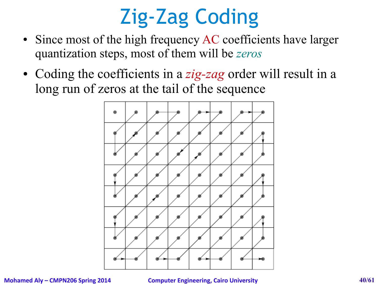# Zig-Zag Coding

- Since most of the high frequency AC coefficients have larger quantization steps, most of them will be *zeros*
- Coding the coefficients in a *zig-zag* order will result in a long run of zeros at the tail of the sequence



#### **Mohamed Aly – CMPN206 Spring 2014 Computer Engineering, Cairo University 40/61**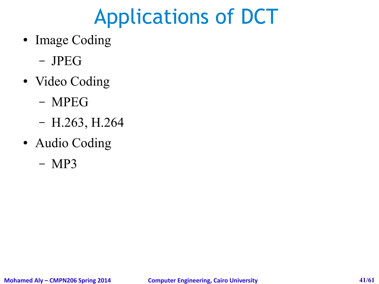# Applications of DCT

- Image Coding
	- JPEG
- Video Coding
	- MPEG
	- H.263, H.264
- Audio Coding
	- MP3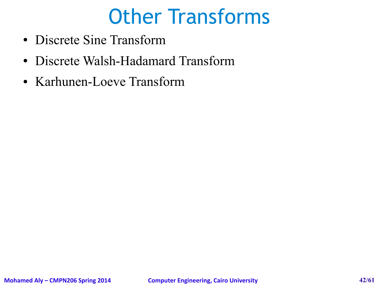# Other Transforms

- Discrete Sine Transform
- Discrete Walsh-Hadamard Transform
- Karhunen-Loeve Transform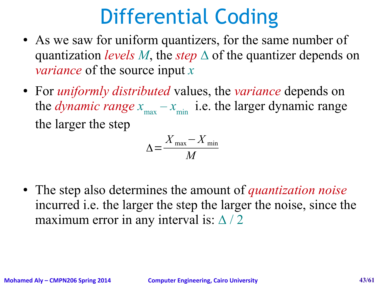# Differential Coding

- As we saw for uniform quantizers, for the same number of quantization *levels M*, the *step*  $\triangle$  of the quantizer depends on *variance* of the source input *x*
- For *uniformly distributed* values, the *variance* depends on the *dynamic range*  $x_{\text{max}} - x_{\text{min}}$  i.e. the larger dynamic range the larger the step

$$
\Delta = \frac{X_{\text{max}} - X_{\text{min}}}{M}
$$

• The step also determines the amount of *quantization noise* incurred i.e. the larger the step the larger the noise, since the maximum error in any interval is:  $\Delta/2$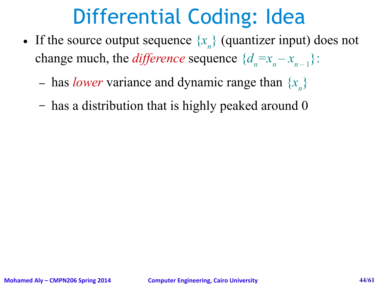# Differential Coding: Idea

- If the source output sequence  $\{x_{n}\}$  (quantizer input) does not change much, the *difference* sequence  $\{d_n = x_n - x_{n-1}\}$ :
	- has *lower* variance and dynamic range than  $\{x_n\}$
	- has a distribution that is highly peaked around 0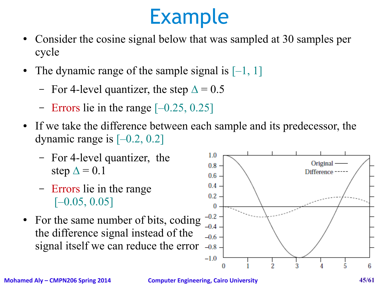#### Example

- Consider the cosine signal below that was sampled at 30 samples per cycle
- The dynamic range of the sample signal is  $[-1, 1]$ 
	- For 4-level quantizer, the step  $\Delta = 0.5$
	- Errors lie in the range  $[-0.25, 0.25]$
- If we take the difference between each sample and its predecessor, the dynamic range is  $[-0.2, 0.2]$ 
	- For 4-level quantizer, the step  $\Delta = 0.1$
	- Errors lie in the range  $[-0.05, 0.05]$
- For the same number of bits, coding the difference signal instead of the signal itself we can reduce the error



**Mohamed Aly – CMPN206 Spring 2014 Computer Engineering, Cairo University 45/61**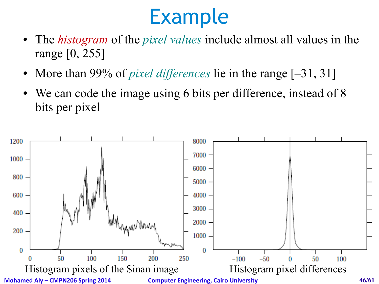# Example

- The *histogram* of the *pixel values* include almost all values in the range [0, 255]
- More than 99% of *pixel differences* lie in the range [-31, 31]
- We can code the image using 6 bits per difference, instead of 8 bits per pixel

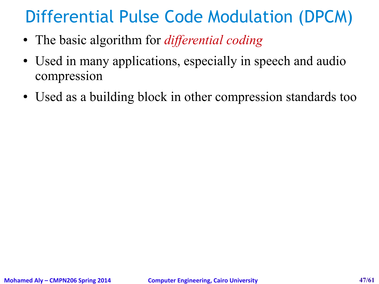#### Differential Pulse Code Modulation (DPCM)

- The basic algorithm for *differential coding*
- Used in many applications, especially in speech and audio compression
- Used as a building block in other compression standards too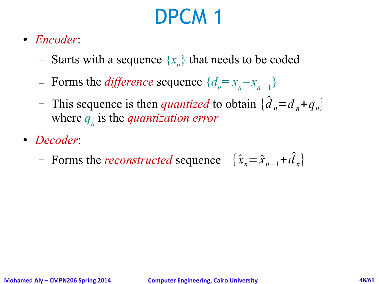# DPCM 1

- *Encoder*:
	- Starts with a sequence  $\{x_n\}$  that needs to be coded
	- Forms the *difference* sequence  $\{d_n = x_n x_{n-1}\}$
	- This sequence is then *quantized* to obtain  $\{\hat{d}_n = d_n + q_n\}$ where *q<sup>n</sup>* is the *quantization error*
- *Decoder*:
	- Forms the *reconstructed* sequence  $\{\hat{x}_n = \hat{x}_{n-1} + \hat{d}\}$ *n* }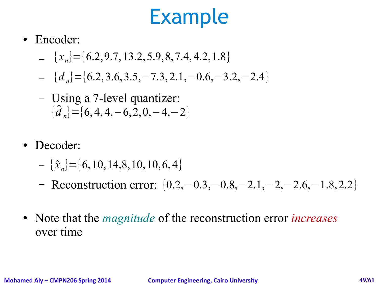#### Example

- Encoder:
	- $\{x_n\} = \{6.2, 9.7, 13.2, 5.9, 8, 7.4, 4.2, 1.8\}$
	- ${d}_n$  = { $d_n$ } = {6.2, 3.6, 3.5, 7.3, 2.1, 0.6, 3.2, 2.4}
	- $\{\hat{d}$ *n*</sub>} = {6, 4, 4, −6, 2, 0, −4, −2} – Using a 7-level quantizer:
- Decoder:
	- $\{\hat{x}_n\}$  = {6, 10, 14,8, 10, 10, 6, 4}
	- Reconstruction error: {0.2,−0.3,−0.8,−2.1,−2,−2.6,−1.8,2.2}
- Note that the *magnitude* of the reconstruction error *increases* over time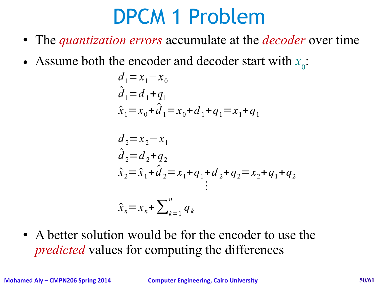# DPCM 1 Problem

- The *quantization errors* accumulate at the *decoder* over time
- Assume both the encoder and decoder start with  $x_0$ :

$$
d_1 = x_1 - x_0
$$
  
\n
$$
\hat{d}_1 = d_1 + q_1
$$
  
\n
$$
\hat{x}_1 = x_0 + \hat{d}_1 = x_0 + d_1 + q_1 = x_1 + q_1
$$

$$
d_2 = x_2 - x_1
$$
  
\n
$$
\hat{d}_2 = d_2 + q_2
$$
  
\n
$$
\hat{x}_2 = \hat{x}_1 + \hat{d}_2 = x_1 + q_1 + d_2 + q_2 = x_2 + q_1 + q_2
$$
  
\n
$$
\vdots
$$
  
\n
$$
\hat{x}_n = x_n + \sum_{k=1}^n q_k
$$

• A better solution would be for the encoder to use the *predicted* values for computing the differences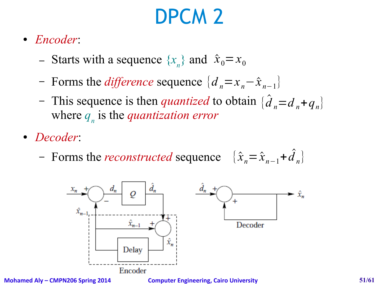# DPCM 2

- *Encoder*:
	- Starts with a sequence  $\{x_n\}$  and  $\hat{x}_0 = x_0$
	- − Forms the *difference* sequence  $\{d_n = x_n \hat{x}_{n-1}\}$
	- This sequence is then *quantized* to obtain  $\{\hat{d}_n = d_n + q_n\}$ where *q<sup>n</sup>* is the *quantization error*
- *Decoder*:
	- Forms the *reconstructed* sequence  $\{\hat{x}_n = \hat{x}_{n-1} + \hat{d}\}$ *n* }

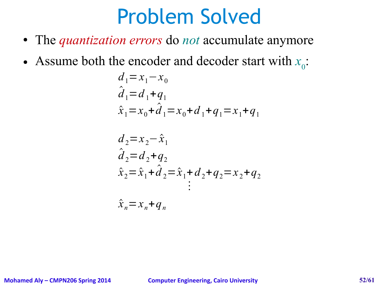#### Problem Solved

- The *quantization errors* do *not* accumulate anymore
- Assume both the encoder and decoder start with  $x_0$ :

$$
d_1 = x_1 - x_0
$$
  
\n
$$
\hat{d}_1 = d_1 + q_1
$$
  
\n
$$
\hat{x}_1 = x_0 + \hat{d}_1 = x_0 + d_1 + q_1 = x_1 + q_1
$$

$$
d_2 = x_2 - \hat{x}_1
$$
  
\n
$$
\hat{d}_2 = d_2 + q_2
$$
  
\n
$$
\hat{x}_2 = \hat{x}_1 + \hat{d}_2 = \hat{x}_1 + d_2 + q_2 = x_2 + q_2
$$
  
\n
$$
\vdots
$$
  
\n
$$
\hat{x}_n = x_n + q_n
$$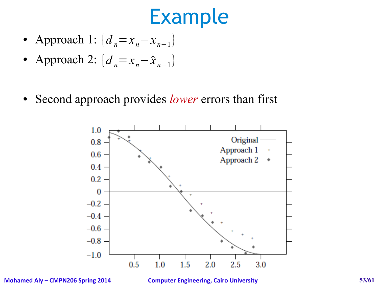#### Example

- Approach 1:  $\{d_n = x_n x_{n-1}\}$
- Approach 2:  $\{d_n = x_n \hat{x}_{n-1}\}\)$
- Second approach provides *lower* errors than first



**Mohamed Aly – CMPN206 Spring 2014 Computer Engineering, Cairo University 53/61**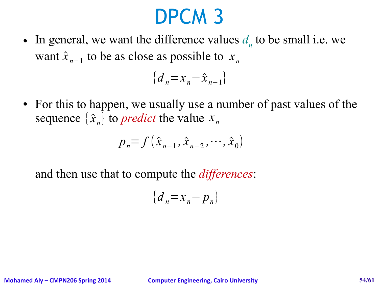#### DPCM 3

• In general, we want the difference values  $d_n$  to be small i.e. we want  $\hat{x}_{n-1}$  to be as close as possible to  $x_n$ 

$$
\left\{d_n = x_n - \hat{x}_{n-1}\right\}
$$

• For this to happen, we usually use a number of past values of the sequence  $\{\hat{x}_n\}$  to *predict* the value  $x_n$ 

$$
p_n = f(\hat{x}_{n-1}, \hat{x}_{n-2}, \cdots, \hat{x}_0)
$$

and then use that to compute the *differences*:

$$
\left\{d_n = x_n - p_n\right\}
$$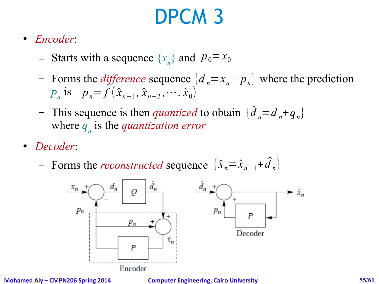# DPCM 3

- *Encoder*:
	- Starts with a sequence  $\{x_n\}$  and  $p_0 = x_0$
	- $p_n$  is  $p_n = f(\hat{x}_{n-1}, \hat{x}_{n-2}, \dots, \hat{x}_0)$  $\blacksquare$  Forms the *difference* sequence  $\{d_n = x_n - p_n\}$  where the prediction
	- This sequence is then *quantized* to obtain {*d* ̂ where *q<sup>n</sup>* is the *quantization error*  $_{n} = d_{n} + q_{n}$
- *Decoder*:
	- Forms the *reconstructed* sequence  $\{\hat{x}_n = \hat{x}_{n-1} + \hat{d}\}$ *n* }



**Mohamed Aly – CMPN206 Spring 2014 Computer Engineering, Cairo University 55/61**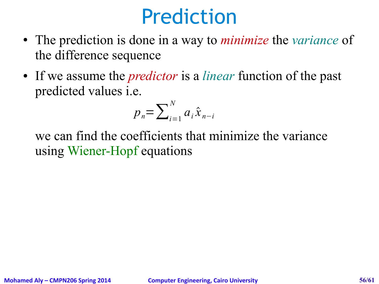#### Prediction

- The prediction is done in a way to *minimize* the *variance* of the difference sequence
- If we assume the *predictor* is a *linear* function of the past predicted values i.e.

$$
p_n = \sum_{i=1}^{N} a_i \hat{x}_{n-i}
$$

we can find the coefficients that minimize the variance using Wiener-Hopf equations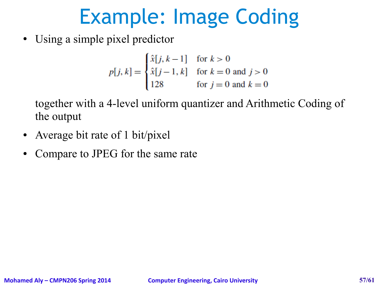• Using a simple pixel predictor

$$
p[j, k] = \begin{cases} \hat{x}[j, k-1] & \text{for } k > 0\\ \hat{x}[j-1, k] & \text{for } k = 0 \text{ and } j > 0\\ 128 & \text{for } j = 0 \text{ and } k = 0 \end{cases}
$$

together with a 4-level uniform quantizer and Arithmetic Coding of the output

- Average bit rate of 1 bit/pixel
- Compare to JPEG for the same rate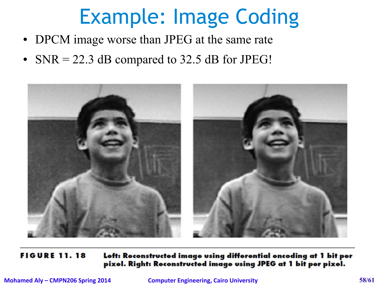- DPCM image worse than JPEG at the same rate
- SNR = 22.3 dB compared to 32.5 dB for JPEG!



**FIGURE 11.18** Left: Reconstructed image using differential encoding at 1 bit per pixel. Right: Reconstructed image using JPEG at 1 bit per pixel.

**Mohamed Aly – CMPN206 Spring 2014 Computer Engineering, Cairo University 58/61**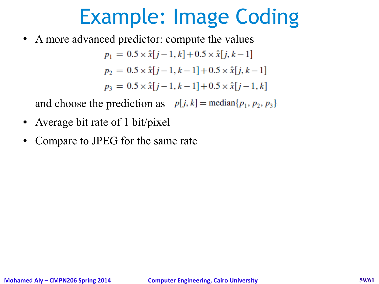• A more advanced predictor: compute the values

$$
p_1 = 0.5 \times \hat{x}[j-1, k] + 0.5 \times \hat{x}[j, k-1]
$$
  
\n
$$
p_2 = 0.5 \times \hat{x}[j-1, k-1] + 0.5 \times \hat{x}[j, k-1]
$$
  
\n
$$
p_3 = 0.5 \times \hat{x}[j-1, k-1] + 0.5 \times \hat{x}[j-1, k]
$$

and choose the prediction as  $p[j, k] = \text{median}\{p_1, p_2, p_3\}$ 

- Average bit rate of 1 bit/pixel
- Compare to JPEG for the same rate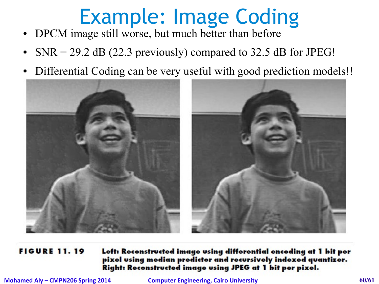- DPCM image still worse, but much better than before
- SNR = 29.2 dB (22.3 previously) compared to 32.5 dB for JPEG!
- Differential Coding can be very useful with good prediction models!!



#### **FIGURE 11.19** Left: Reconstructed image using differential encoding at 1 bit per pixel using median predictor and recursively indexed quantizer. Right: Reconstructed image using JPEG at 1 bit per pixel.

**Mohamed Aly – CMPN206 Spring 2014 <b>Computer Engineering, Cairo University** 60/61